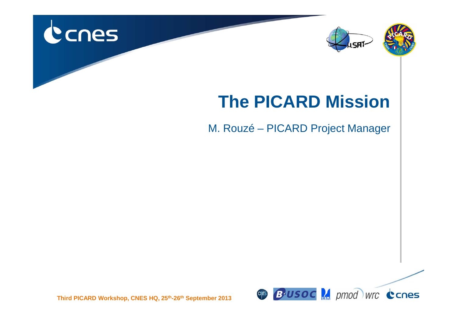





#### **The PICARD Mission**

M. Rouzé – PICARD Project Manager



**Third PICARD Workshop, CNES HQ, 25th-26th September 2013**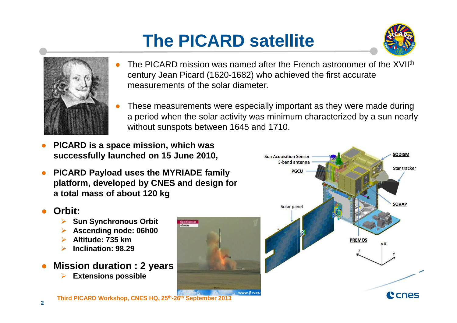# **The PICARD satellite**





- ● The PICARD mission was named after the French astronomer of the XVIIth century Jean Picard (1620-1682) who achieved the first accurate measurements of the solar diameter.
- ● These measurements were especially important as they were made during a period when the solar activity was minimum characterized by a sun nearly without sunspots between 1645 and 1710.
- ● **PICARD is a space mission, which was successfully launched on 15 June 2010,**
- ● **PICARD Payload uses the MYRIADE family platform, developed by CNES and design for a total mass of about 120 kg**

#### ●**Orbit:**

- $\blacktriangleright$ **Sun Synchronous Orbit**
- $\blacktriangleright$ **Ascending node: 06h00**
- $\blacktriangleright$ **Altitude: 735 km**
- **Inclination: 98.29**  $\blacktriangleright$
- ● **Mission duration : 2 years**  $\blacktriangleright$ **Extensions possible**



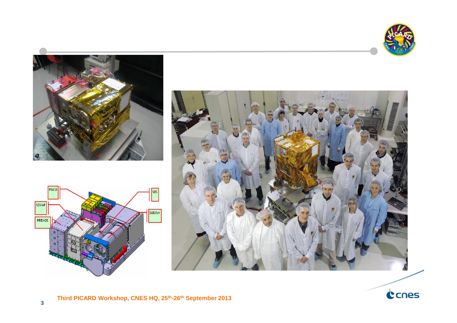







PREMOS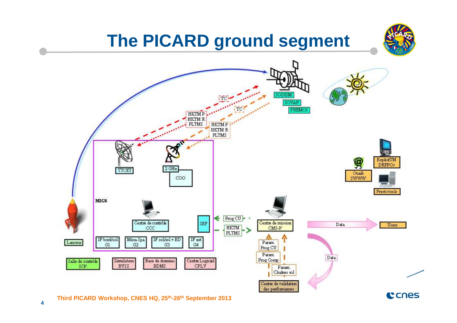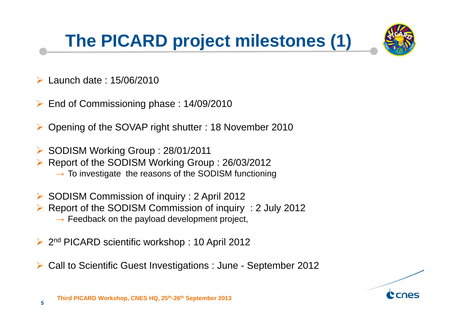# **The PICARD project milestones (1)**



- $\blacktriangleright$ Launch date : 15/06/2010
- ➤ End of Commissioning phase : 14/09/2010
- $\blacktriangleright$ Opening of the SOVAP right shutter : 18 November 2010
- SODISM Working Group : 28/01/2011
- $\blacktriangleright$  Report of the SODISM Working Group : 26/03/2012
	- $\rightarrow$  To investigate the reasons of the SODISM functioning
- SODISM Commission of inquiry : 2 April 2012
- $\blacktriangleright$  Report of the SODISM Commission of inquiry : 2 July 2012  $\rightarrow$  Feedback on the payload development project,
- $\blacktriangleright$ 2<sup>nd</sup> PICARD scientific workshop: 10 April 2012
- $\blacktriangleright$ Call to Scientific Guest Investigations : June - September 2012

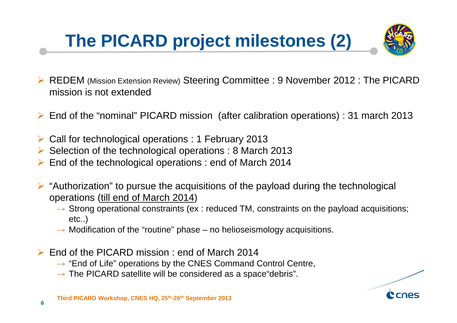### **The PICARD project milestones (2)**



- $\blacktriangleright$  REDEM (Mission Extension Review) Steering Committee : 9 November 2012 : The PICARD mission is not extended
- End of the "nominal" PICARD mission (after calibration operations) : 31 march 2013
- Call for technological operations : 1 February 2013
- Selection of the technological operations : 8 March 2013
- $\blacktriangleright$ End of the technological operations : end of March 2014
- $\triangleright$  "Authorization" to pursue the acquisitions of the payload during the technological<br>constrains (till and of March 2014) operations (till end of March 2014)
	- $\rightarrow$  Strong operational constraints (ex : reduced TM, constraints on the payload acquisitions;<br>etc.) etc..)
	- $\rightarrow$  Modification of the "routine" phase no helioseismology acquisitions.
- ► End of the PICARD mission : end of March 2014
	- → "End of Life" operations by the CNES Command Control Centre,<br>→ The PICARD satellite will be considered as a space"debris"
	- $\rightarrow$  The PICARD satellite will be considered as a space"debris".

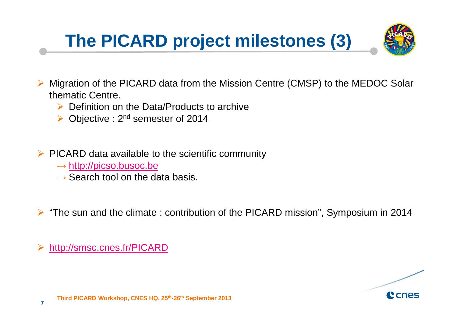### **The PICARD project milestones (3)**



- $\blacktriangleright$  Migration of the PICARD data from the Mission Centre (CMSP) to the MEDOC Solar thematic Centre.
	- $\triangleright$  Definition on the Data/Products to archive
	- $\triangleright$  Objective : 2<sup>nd</sup> semester of 2014
- $\triangleright$  PICARD data available to the scientific community
	- $\rightarrow$  <u>http://picso.busoc.be</u><br> $\rightarrow$  Search tool on the da
	- $\rightarrow$  Search tool on the data basis.

 $\triangleright$  "The sun and the climate : contribution of the PICARD mission", Symposium in 2014

http://smsc.cnes.fr/PICARD